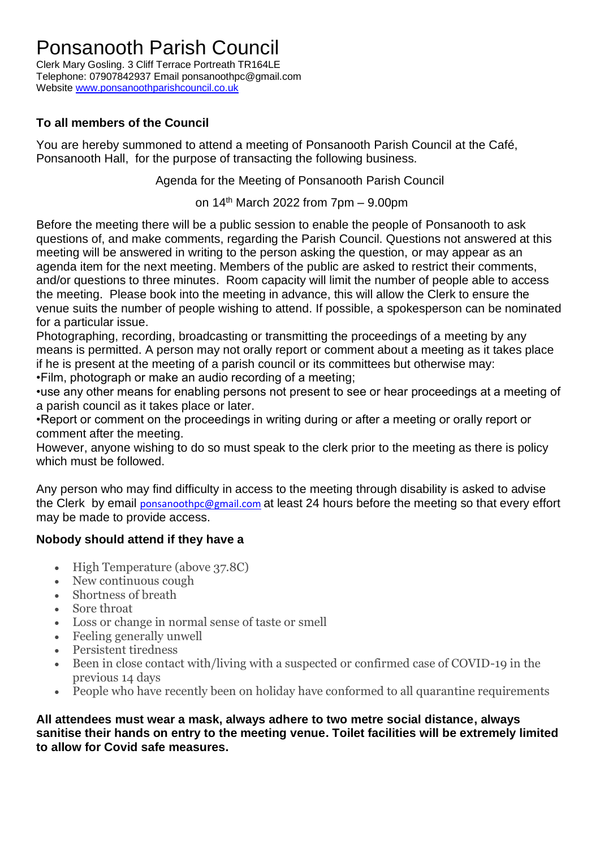## Ponsanooth Parish Council

Clerk Mary Gosling. 3 Cliff Terrace Portreath TR164LE Telephone: 07907842937 Email ponsanoothpc@gmail.com Website [www.ponsanoothparishcouncil.co.uk](http://www.ponsanoothparishcouncil.co.uk/)

## **To all members of the Council**

You are hereby summoned to attend a meeting of Ponsanooth Parish Council at the Café, Ponsanooth Hall, for the purpose of transacting the following business.

Agenda for the Meeting of Ponsanooth Parish Council

on 14 th March 2022 from 7pm – 9.00pm

Before the meeting there will be a public session to enable the people of Ponsanooth to ask questions of, and make comments, regarding the Parish Council. Questions not answered at this meeting will be answered in writing to the person asking the question, or may appear as an agenda item for the next meeting. Members of the public are asked to restrict their comments, and/or questions to three minutes. Room capacity will limit the number of people able to access the meeting. Please book into the meeting in advance, this will allow the Clerk to ensure the venue suits the number of people wishing to attend. If possible, a spokesperson can be nominated for a particular issue.

Photographing, recording, broadcasting or transmitting the proceedings of a meeting by any means is permitted. A person may not orally report or comment about a meeting as it takes place if he is present at the meeting of a parish council or its committees but otherwise may: •Film, photograph or make an audio recording of a meeting;

•use any other means for enabling persons not present to see or hear proceedings at a meeting of a parish council as it takes place or later.

•Report or comment on the proceedings in writing during or after a meeting or orally report or comment after the meeting.

However, anyone wishing to do so must speak to the clerk prior to the meeting as there is policy which must be followed.

Any person who may find difficulty in access to the meeting through disability is asked to advise the Clerk by email [ponsanoothpc@gmail.com](mailto:ponsanoothpc@gmail.com) at least 24 hours before the meeting so that every effort may be made to provide access.

## **Nobody should attend if they have a**

- High Temperature (above 37.8C)
- New continuous cough
- Shortness of breath
- Sore throat
- Loss or change in normal sense of taste or smell
- Feeling generally unwell
- Persistent tiredness
- Been in close contact with/living with a suspected or confirmed case of COVID-19 in the previous 14 days
- People who have recently been on holiday have conformed to all quarantine requirements

**All attendees must wear a mask, always adhere to two metre social distance, always sanitise their hands on entry to the meeting venue. Toilet facilities will be extremely limited to allow for Covid safe measures.**